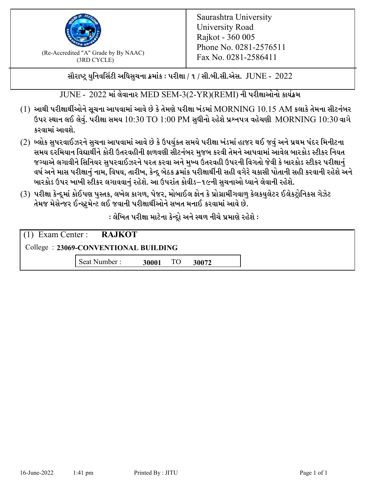

 $F_{\text{R}}$  (Re-Accredited "A" Grade by By NAAC)<br>(3PD CVCLE)<br> $F_{\text{R}}$  No. 0281-2586411 (3RD CYCLE)

સૌરાષ્ટ્ર યુનિવર્સિટી અધિસુચના ક્રમાંક : પરીક્ષા / ૧ / સી.બી.સી.એસ.  $\,$  JUNE -  $\,2022$ 

 $JUNE - 2022$  માં લેવાનાર MED SEM-3(2-YR)(REMI) ની પરીક્ષાઓનો કાર્યક્રમ

- $(1)$  આથી પરીક્ષાર્થીઓને સૂચના આપવામાં આવે છે કે તેમણે પરીક્ષા ખંડમાં  $\operatorname{MORNING}$   $10.15$   $\operatorname{AM}$  કલાકે તેમના સીટનંબર ઉપર સ્થાન લઈ લેવું. પરીક્ષા સમય  $10:30 \text{ TO } 1:00 \text{ PM}$  સુધીનો રહેશે પ્રશ્નપત્ર વહેચણી  $\text{MORNING } 10:30$  વાગે કરવામાં આવશે.
- (2) બ્લોક સુપરવાઈઝરને સુચના આપવામાં આવે છે કે ઉપર્યુકત સમયે પરીક્ષા ખંડમાં હાજર થઈ જવું અને પ્રથમ પંદર મિનીટના સમય દરમિયાન વિદ્યાર્થીને કોરી ઉતરવહીની ફાળવણી સીટનંબર મજબ કરવી તેમને આપવામાં આવેલ બારકોડ સ્ટીકર નિયત જગ્યાએ લગાવીને સિનિયર સુપરવાઈઝરને પરત કરવા અને મુખ્ય ઉતરવહી ઉપરની વિગતો જેવી કે બારકોડ સ્ટીકર પરીક્ષ<u>ાન</u>ં વર્ષ અને માસ પરીક્ષાનું નામ, વિષય, તારીખ, કેન્દ્ર બેઠક ક્રમાંક પરીક્ષાર્થીની સહી વગેરે ચકાસી પોતાની સહી કરવાની રહેશે અને બારકોડ ઉપર ખાખી સ્ટીકર લગાવવાનં રહેશે. આ ઉપરાંત કોવીડ–૧૯ની સચનાઓ ધ્યાને લેવાની રહેશે.
- (3) પરીક્ષા કેન્દ્રમાં કોઈપણ પુસ્તક, લખેલ કાગળ, પેજર, મોબાઈલ ફોન કે પ્રોગ્રામીંગવાળુ કેલકયુલેટર ઈલેકટ્રોનિકસ ગેઝેટ તેમજ મેસેન્જર ઈન્સ્ટ્રુમેન્ટ લઈ જવાની પરીક્ષાર્થીઓને સખત મનાઈ કરવામાં આવે છે.

: લેખિત પરીક્ષા માટેના કેન્દ્રો અને સ્થળ નીચે પ્રમાણે રહેશે :

|                                      | $(1)$ Exam Center : <b>RAJKOT</b> |       |    |       |  |  |
|--------------------------------------|-----------------------------------|-------|----|-------|--|--|
| College: 23069-CONVENTIONAL BUILDING |                                   |       |    |       |  |  |
|                                      | Seat Number:                      | 30001 | TO | 30072 |  |  |